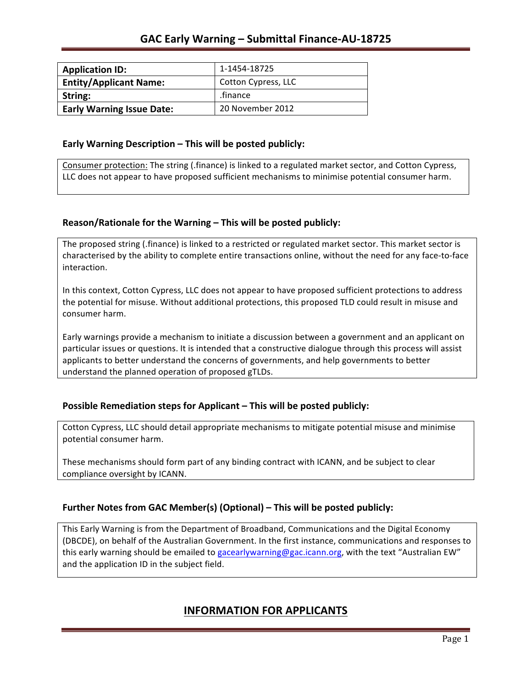| <b>Application ID:</b>           | 1-1454-18725        |
|----------------------------------|---------------------|
| <b>Entity/Applicant Name:</b>    | Cotton Cypress, LLC |
| String:                          | .finance            |
| <b>Early Warning Issue Date:</b> | 20 November 2012    |

#### **Early Warning Description – This will be posted publicly:**

Consumer protection: The string (.finance) is linked to a regulated market sector, and Cotton Cypress, LLC does not appear to have proposed sufficient mechanisms to minimise potential consumer harm.

### **Reason/Rationale for the Warning – This will be posted publicly:**

The proposed string (.finance) is linked to a restricted or regulated market sector. This market sector is characterised by the ability to complete entire transactions online, without the need for any face-to-face interaction.

In this context, Cotton Cypress, LLC does not appear to have proposed sufficient protections to address the potential for misuse. Without additional protections, this proposed TLD could result in misuse and consumer harm.

Early warnings provide a mechanism to initiate a discussion between a government and an applicant on particular issues or questions. It is intended that a constructive dialogue through this process will assist applicants to better understand the concerns of governments, and help governments to better understand the planned operation of proposed gTLDs.

### **Possible Remediation steps for Applicant – This will be posted publicly:**

Cotton Cypress, LLC should detail appropriate mechanisms to mitigate potential misuse and minimise potential consumer harm.

These mechanisms should form part of any binding contract with ICANN, and be subject to clear compliance oversight by ICANN.

### **Further Notes from GAC Member(s) (Optional)** – This will be posted publicly:

This Early Warning is from the Department of Broadband, Communications and the Digital Economy (DBCDE), on behalf of the Australian Government. In the first instance, communications and responses to this early warning should be emailed to gacearlywarning@gac.icann.org, with the text "Australian EW" and the application ID in the subject field.

## **INFORMATION FOR APPLICANTS**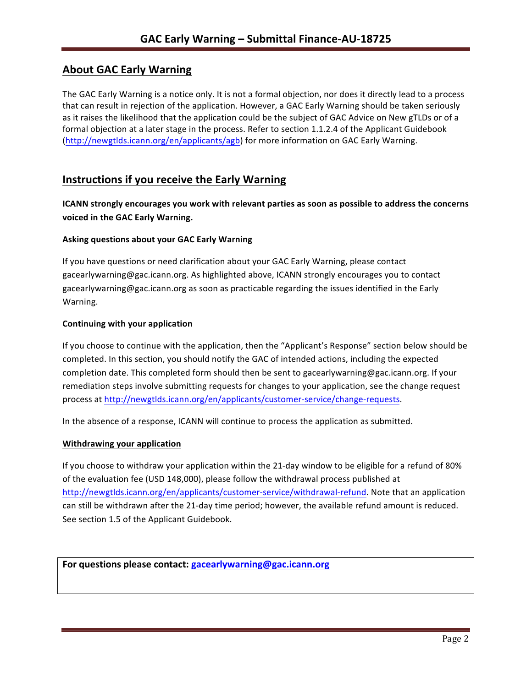# **About GAC Early Warning**

The GAC Early Warning is a notice only. It is not a formal objection, nor does it directly lead to a process that can result in rejection of the application. However, a GAC Early Warning should be taken seriously as it raises the likelihood that the application could be the subject of GAC Advice on New gTLDs or of a formal objection at a later stage in the process. Refer to section 1.1.2.4 of the Applicant Guidebook (http://newgtlds.icann.org/en/applicants/agb) for more information on GAC Early Warning.

## **Instructions if you receive the Early Warning**

**ICANN** strongly encourages you work with relevant parties as soon as possible to address the concerns **voiced in the GAC Early Warning.** 

### **Asking questions about your GAC Early Warning**

If you have questions or need clarification about your GAC Early Warning, please contact gacearlywarning@gac.icann.org. As highlighted above, ICANN strongly encourages you to contact gacearlywarning@gac.icann.org as soon as practicable regarding the issues identified in the Early Warning. 

#### **Continuing with your application**

If you choose to continue with the application, then the "Applicant's Response" section below should be completed. In this section, you should notify the GAC of intended actions, including the expected completion date. This completed form should then be sent to gacearlywarning@gac.icann.org. If your remediation steps involve submitting requests for changes to your application, see the change request process at http://newgtlds.icann.org/en/applicants/customer-service/change-requests.

In the absence of a response, ICANN will continue to process the application as submitted.

#### **Withdrawing your application**

If you choose to withdraw your application within the 21-day window to be eligible for a refund of 80% of the evaluation fee (USD 148,000), please follow the withdrawal process published at http://newgtlds.icann.org/en/applicants/customer-service/withdrawal-refund. Note that an application can still be withdrawn after the 21-day time period; however, the available refund amount is reduced. See section 1.5 of the Applicant Guidebook.

```
For questions please contact: gacearlywarning@gac.icann.org
```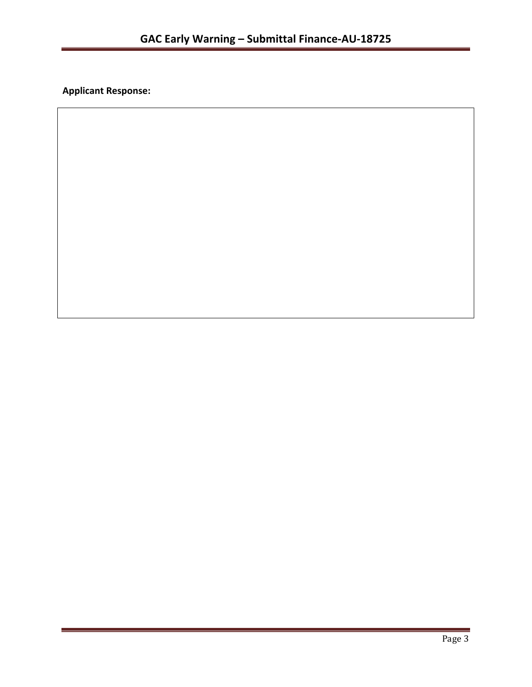**Applicant Response:**